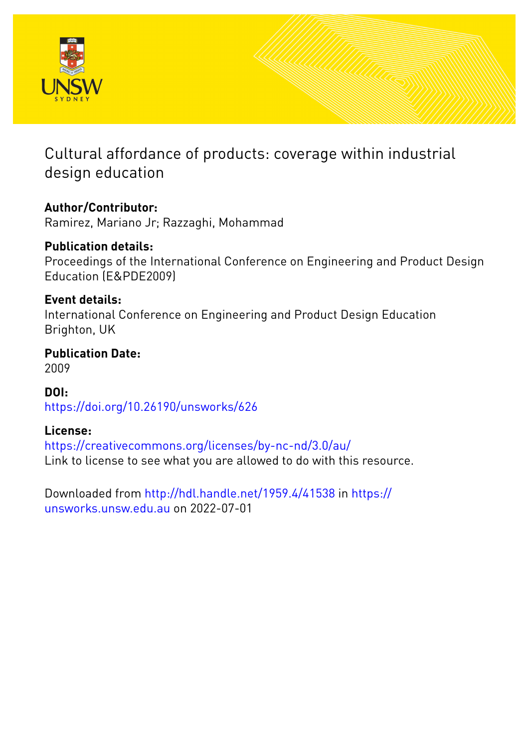

# Cultural affordance of products: coverage within industrial design education

## **Author/Contributor:**

Ramirez, Mariano Jr; Razzaghi, Mohammad

## **Publication details:**

Proceedings of the International Conference on Engineering and Product Design Education (E&PDE2009)

### **Event details:**

International Conference on Engineering and Product Design Education Brighton, UK

#### **Publication Date:** 2009

**DOI:** [https://doi.org/10.26190/unsworks/626](http://dx.doi.org/https://doi.org/10.26190/unsworks/626)

## **License:**

<https://creativecommons.org/licenses/by-nc-nd/3.0/au/> Link to license to see what you are allowed to do with this resource.

Downloaded from <http://hdl.handle.net/1959.4/41538> in [https://](https://unsworks.unsw.edu.au) [unsworks.unsw.edu.au](https://unsworks.unsw.edu.au) on 2022-07-01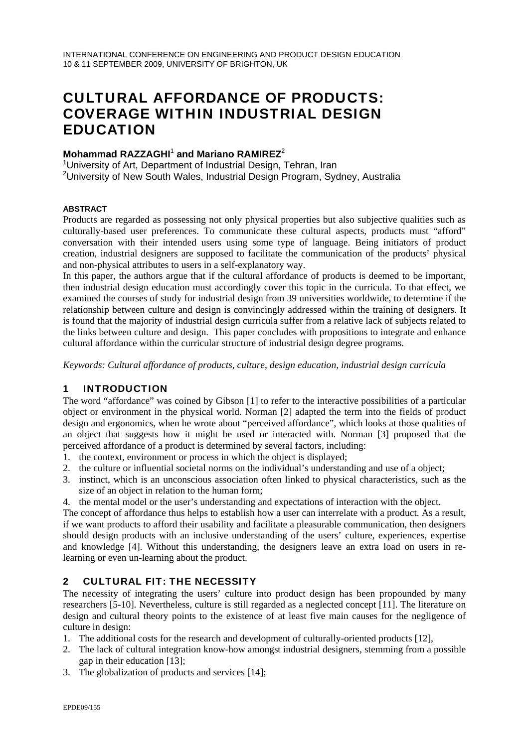## CULTURAL AFFORDANCE OF PRODUCTS: COVERAGE WITHIN INDUSTRIAL DESIGN EDUCATION

# **Mohammad RAZZAGHI<sup>1</sup> and Mariano RAMIREZ<sup>2</sup><br><sup>1</sup> University of Art, Department of Industrial Design J**

<sup>1</sup> University of Art, Department of Industrial Design, Tehran, Iran <sup>2</sup>University of New South Wales, Industrial Design Program, Sydney, Australia

#### **ABSTRACT**

Products are regarded as possessing not only physical properties but also subjective qualities such as culturally-based user preferences. To communicate these cultural aspects, products must "afford" conversation with their intended users using some type of language. Being initiators of product creation, industrial designers are supposed to facilitate the communication of the products' physical and non-physical attributes to users in a self-explanatory way.

In this paper, the authors argue that if the cultural affordance of products is deemed to be important, then industrial design education must accordingly cover this topic in the curricula. To that effect, we examined the courses of study for industrial design from 39 universities worldwide, to determine if the relationship between culture and design is convincingly addressed within the training of designers. It is found that the majority of industrial design curricula suffer from a relative lack of subjects related to the links between culture and design. This paper concludes with propositions to integrate and enhance cultural affordance within the curricular structure of industrial design degree programs.

*Keywords: Cultural affordance of products, culture, design education, industrial design curricula* 

#### 1 INTRODUCTION

The word "affordance" was coined by Gibson [1] to refer to the interactive possibilities of a particular object or environment in the physical world. Norman [2] adapted the term into the fields of product design and ergonomics, when he wrote about "perceived affordance", which looks at those qualities of an object that suggests how it might be used or interacted with. Norman [3] proposed that the perceived affordance of a product is determined by several factors, including:

- 1. the context, environment or process in which the object is displayed;
- 2. the culture or influential societal norms on the individual's understanding and use of a object;
- 3. instinct, which is an unconscious association often linked to physical characteristics, such as the size of an object in relation to the human form;
- 4. the mental model or the user's understanding and expectations of interaction with the object.

The concept of affordance thus helps to establish how a user can interrelate with a product. As a result, if we want products to afford their usability and facilitate a pleasurable communication, then designers should design products with an inclusive understanding of the users' culture, experiences, expertise and knowledge [4]. Without this understanding, the designers leave an extra load on users in relearning or even un-learning about the product.

#### 2 CULTURAL FIT: THE NECESSITY

The necessity of integrating the users' culture into product design has been propounded by many researchers [5-10]. Nevertheless, culture is still regarded as a neglected concept [11]. The literature on design and cultural theory points to the existence of at least five main causes for the negligence of culture in design:

- 1. The additional costs for the research and development of culturally-oriented products [12],
- 2. The lack of cultural integration know-how amongst industrial designers, stemming from a possible gap in their education [13];
- 3. The globalization of products and services [14];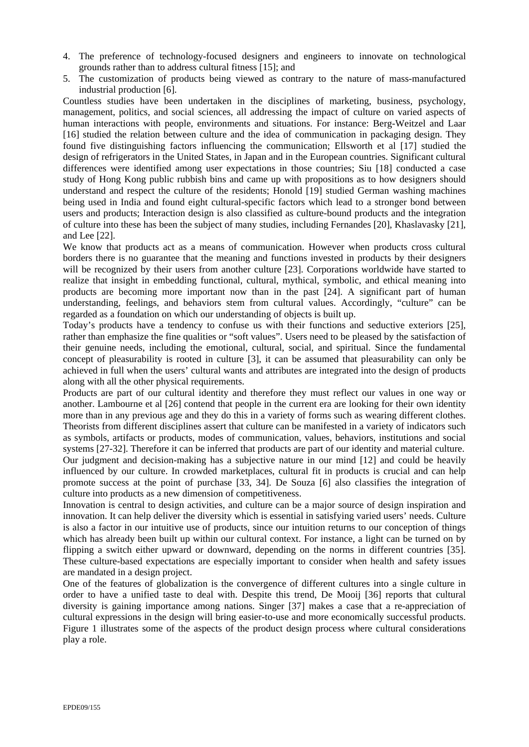- 4. The preference of technology-focused designers and engineers to innovate on technological grounds rather than to address cultural fitness [15]; and
- 5. The customization of products being viewed as contrary to the nature of mass-manufactured industrial production [6].

Countless studies have been undertaken in the disciplines of marketing, business, psychology, management, politics, and social sciences, all addressing the impact of culture on varied aspects of human interactions with people, environments and situations. For instance: Berg-Weitzel and Laar [16] studied the relation between culture and the idea of communication in packaging design. They found five distinguishing factors influencing the communication; Ellsworth et al [17] studied the design of refrigerators in the United States, in Japan and in the European countries. Significant cultural differences were identified among user expectations in those countries; Siu [18] conducted a case study of Hong Kong public rubbish bins and came up with propositions as to how designers should understand and respect the culture of the residents; Honold [19] studied German washing machines being used in India and found eight cultural-specific factors which lead to a stronger bond between users and products; Interaction design is also classified as culture-bound products and the integration of culture into these has been the subject of many studies, including Fernandes [20], Khaslavasky [21], and Lee [22].

We know that products act as a means of communication. However when products cross cultural borders there is no guarantee that the meaning and functions invested in products by their designers will be recognized by their users from another culture [23]. Corporations worldwide have started to realize that insight in embedding functional, cultural, mythical, symbolic, and ethical meaning into products are becoming more important now than in the past [24]. A significant part of human understanding, feelings, and behaviors stem from cultural values. Accordingly, "culture" can be regarded as a foundation on which our understanding of objects is built up.

Today's products have a tendency to confuse us with their functions and seductive exteriors [25], rather than emphasize the fine qualities or "soft values". Users need to be pleased by the satisfaction of their genuine needs, including the emotional, cultural, social, and spiritual. Since the fundamental concept of pleasurability is rooted in culture [3], it can be assumed that pleasurability can only be achieved in full when the users' cultural wants and attributes are integrated into the design of products along with all the other physical requirements.

Products are part of our cultural identity and therefore they must reflect our values in one way or another. Lambourne et al [26] contend that people in the current era are looking for their own identity more than in any previous age and they do this in a variety of forms such as wearing different clothes. Theorists from different disciplines assert that culture can be manifested in a variety of indicators such as symbols, artifacts or products, modes of communication, values, behaviors, institutions and social systems [27-32]. Therefore it can be inferred that products are part of our identity and material culture. Our judgment and decision-making has a subjective nature in our mind [12] and could be heavily influenced by our culture. In crowded marketplaces, cultural fit in products is crucial and can help promote success at the point of purchase [33, 34]. De Souza [6] also classifies the integration of culture into products as a new dimension of competitiveness.

Innovation is central to design activities, and culture can be a major source of design inspiration and innovation. It can help deliver the diversity which is essential in satisfying varied users' needs. Culture is also a factor in our intuitive use of products, since our intuition returns to our conception of things which has already been built up within our cultural context. For instance, a light can be turned on by flipping a switch either upward or downward, depending on the norms in different countries [35]. These culture-based expectations are especially important to consider when health and safety issues are mandated in a design project.

One of the features of globalization is the convergence of different cultures into a single culture in order to have a unified taste to deal with. Despite this trend, De Mooij [36] reports that cultural diversity is gaining importance among nations. Singer [37] makes a case that a re-appreciation of cultural expressions in the design will bring easier-to-use and more economically successful products. Figure 1 illustrates some of the aspects of the product design process where cultural considerations play a role.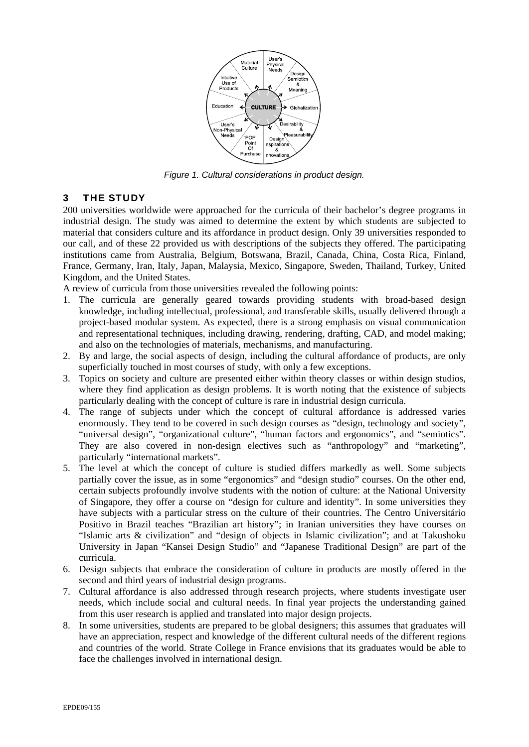

*Figure 1. Cultural considerations in product design.* 

#### 3 THE STUDY

200 universities worldwide were approached for the curricula of their bachelor's degree programs in industrial design. The study was aimed to determine the extent by which students are subjected to material that considers culture and its affordance in product design. Only 39 universities responded to our call, and of these 22 provided us with descriptions of the subjects they offered. The participating institutions came from Australia, Belgium, Botswana, Brazil, Canada, China, Costa Rica, Finland, France, Germany, Iran, Italy, Japan, Malaysia, Mexico, Singapore, Sweden, Thailand, Turkey, United Kingdom, and the United States.

A review of curricula from those universities revealed the following points:

- 1. The curricula are generally geared towards providing students with broad-based design knowledge, including intellectual, professional, and transferable skills, usually delivered through a project-based modular system. As expected, there is a strong emphasis on visual communication and representational techniques, including drawing, rendering, drafting, CAD, and model making; and also on the technologies of materials, mechanisms, and manufacturing.
- 2. By and large, the social aspects of design, including the cultural affordance of products, are only superficially touched in most courses of study, with only a few exceptions.
- 3. Topics on society and culture are presented either within theory classes or within design studios, where they find application as design problems. It is worth noting that the existence of subjects particularly dealing with the concept of culture is rare in industrial design curricula.
- 4. The range of subjects under which the concept of cultural affordance is addressed varies enormously. They tend to be covered in such design courses as "design, technology and society", "universal design", "organizational culture", "human factors and ergonomics", and "semiotics". They are also covered in non-design electives such as "anthropology" and "marketing", particularly "international markets".
- 5. The level at which the concept of culture is studied differs markedly as well. Some subjects partially cover the issue, as in some "ergonomics" and "design studio" courses. On the other end, certain subjects profoundly involve students with the notion of culture: at the National University of Singapore, they offer a course on "design for culture and identity". In some universities they have subjects with a particular stress on the culture of their countries. The Centro Universitário Positivo in Brazil teaches "Brazilian art history"; in Iranian universities they have courses on "Islamic arts & civilization" and "design of objects in Islamic civilization"; and at Takushoku University in Japan "Kansei Design Studio" and "Japanese Traditional Design" are part of the curricula.
- 6. Design subjects that embrace the consideration of culture in products are mostly offered in the second and third years of industrial design programs.
- 7. Cultural affordance is also addressed through research projects, where students investigate user needs, which include social and cultural needs. In final year projects the understanding gained from this user research is applied and translated into major design projects.
- 8. In some universities, students are prepared to be global designers; this assumes that graduates will have an appreciation, respect and knowledge of the different cultural needs of the different regions and countries of the world. Strate College in France envisions that its graduates would be able to face the challenges involved in international design.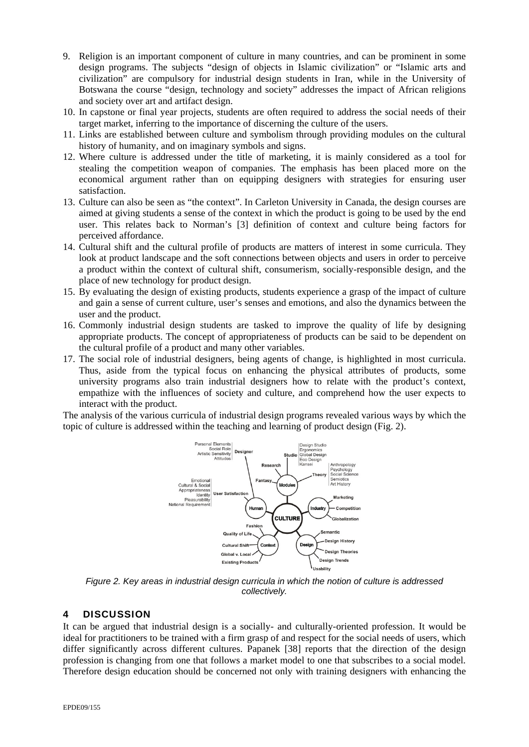- 9. Religion is an important component of culture in many countries, and can be prominent in some design programs. The subjects "design of objects in Islamic civilization" or "Islamic arts and civilization" are compulsory for industrial design students in Iran, while in the University of Botswana the course "design, technology and society" addresses the impact of African religions and society over art and artifact design.
- 10. In capstone or final year projects, students are often required to address the social needs of their target market, inferring to the importance of discerning the culture of the users.
- 11. Links are established between culture and symbolism through providing modules on the cultural history of humanity, and on imaginary symbols and signs.
- 12. Where culture is addressed under the title of marketing, it is mainly considered as a tool for stealing the competition weapon of companies. The emphasis has been placed more on the economical argument rather than on equipping designers with strategies for ensuring user satisfaction.
- 13. Culture can also be seen as "the context". In Carleton University in Canada, the design courses are aimed at giving students a sense of the context in which the product is going to be used by the end user. This relates back to Norman's [3] definition of context and culture being factors for perceived affordance.
- 14. Cultural shift and the cultural profile of products are matters of interest in some curricula. They look at product landscape and the soft connections between objects and users in order to perceive a product within the context of cultural shift, consumerism, socially-responsible design, and the place of new technology for product design.
- 15. By evaluating the design of existing products, students experience a grasp of the impact of culture and gain a sense of current culture, user's senses and emotions, and also the dynamics between the user and the product.
- 16. Commonly industrial design students are tasked to improve the quality of life by designing appropriate products. The concept of appropriateness of products can be said to be dependent on the cultural profile of a product and many other variables.
- 17. The social role of industrial designers, being agents of change, is highlighted in most curricula. Thus, aside from the typical focus on enhancing the physical attributes of products, some university programs also train industrial designers how to relate with the product's context, empathize with the influences of society and culture, and comprehend how the user expects to interact with the product.

The analysis of the various curricula of industrial design programs revealed various ways by which the topic of culture is addressed within the teaching and learning of product design (Fig. 2).



*Figure 2. Key areas in industrial design curricula in which the notion of culture is addressed collectively.* 

#### 4 DISCUSSION

It can be argued that industrial design is a socially- and culturally-oriented profession. It would be ideal for practitioners to be trained with a firm grasp of and respect for the social needs of users, which differ significantly across different cultures. Papanek [38] reports that the direction of the design profession is changing from one that follows a market model to one that subscribes to a social model. Therefore design education should be concerned not only with training designers with enhancing the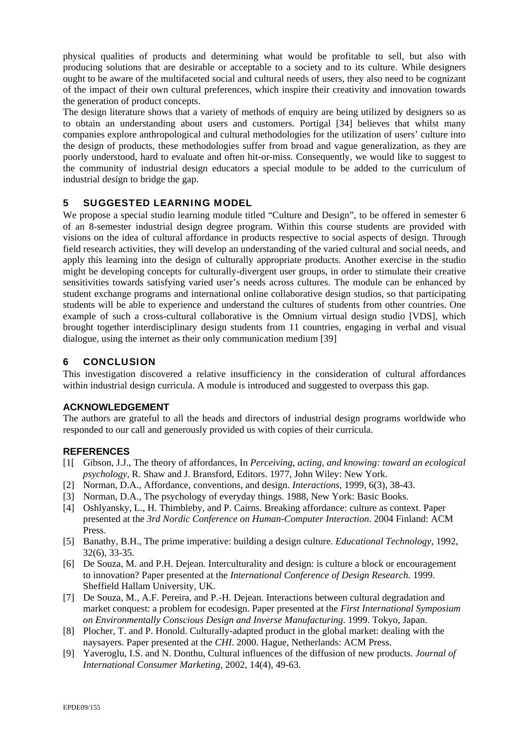physical qualities of products and determining what would be profitable to sell, but also with producing solutions that are desirable or acceptable to a society and to its culture. While designers ought to be aware of the multifaceted social and cultural needs of users, they also need to be cognizant of the impact of their own cultural preferences, which inspire their creativity and innovation towards the generation of product concepts.

The design literature shows that a variety of methods of enquiry are being utilized by designers so as to obtain an understanding about users and customers. Portigal [34] believes that whilst many companies explore anthropological and cultural methodologies for the utilization of users' culture into the design of products, these methodologies suffer from broad and vague generalization, as they are poorly understood, hard to evaluate and often hit-or-miss. Consequently, we would like to suggest to the community of industrial design educators a special module to be added to the curriculum of industrial design to bridge the gap.

#### 5 SUGGESTED LEARNING MODEL

We propose a special studio learning module titled "Culture and Design", to be offered in semester 6 of an 8-semester industrial design degree program. Within this course students are provided with visions on the idea of cultural affordance in products respective to social aspects of design. Through field research activities, they will develop an understanding of the varied cultural and social needs, and apply this learning into the design of culturally appropriate products. Another exercise in the studio might be developing concepts for culturally-divergent user groups, in order to stimulate their creative sensitivities towards satisfying varied user's needs across cultures. The module can be enhanced by student exchange programs and international online collaborative design studios, so that participating students will be able to experience and understand the cultures of students from other countries. One example of such a cross-cultural collaborative is the Omnium virtual design studio [VDS], which brought together interdisciplinary design students from 11 countries, engaging in verbal and visual dialogue, using the internet as their only communication medium [39]

#### 6 CONCLUSION

This investigation discovered a relative insufficiency in the consideration of cultural affordances within industrial design curricula. A module is introduced and suggested to overpass this gap.

#### **ACKNOWLEDGEMENT**

The authors are grateful to all the heads and directors of industrial design programs worldwide who responded to our call and generously provided us with copies of their curricula.

#### **REFERENCES**

- [1[ Gibson, J.J., The theory of affordances, In *Perceiving, acting, and knowing: toward an ecological psychology*, R. Shaw and J. Bransford, Editors. 1977, John Wiley: New York.
- [2] Norman, D.A., Affordance, conventions, and design. *Interactions*, 1999, 6(3), 38-43.
- [3] Norman, D.A., The psychology of everyday things. 1988, New York: Basic Books.
- [4] Oshlyansky, L., H. Thimbleby, and P. Cairns. Breaking affordance: culture as context. Paper presented at the *3rd Nordic Conference on Human-Computer Interaction*. 2004 Finland: ACM Press.
- [5] Banathy, B.H., The prime imperative: building a design culture. *Educational Technology*, 1992, 32(6), 33-35.
- [6] De Souza, M. and P.H. Dejean. Interculturality and design: is culture a block or encouragement to innovation? Paper presented at the *International Conference of Design Research*. 1999. Sheffield Hallam University, UK.
- [7] De Souza, M., A.F. Pereira, and P.-H. Dejean. Interactions between cultural degradation and market conquest: a problem for ecodesign. Paper presented at the *First International Symposium on Environmentally Conscious Design and Inverse Manufacturing*. 1999. Tokyo, Japan.
- [8] Plocher, T. and P. Honold. Culturally-adapted product in the global market: dealing with the naysayers. Paper presented at the *CHI*. 2000. Hague, Netherlands: ACM Press.
- [9] Yaveroglu, I.S. and N. Donthu, Cultural influences of the diffusion of new products. *Journal of International Consumer Marketing*, 2002, 14(4), 49-63.